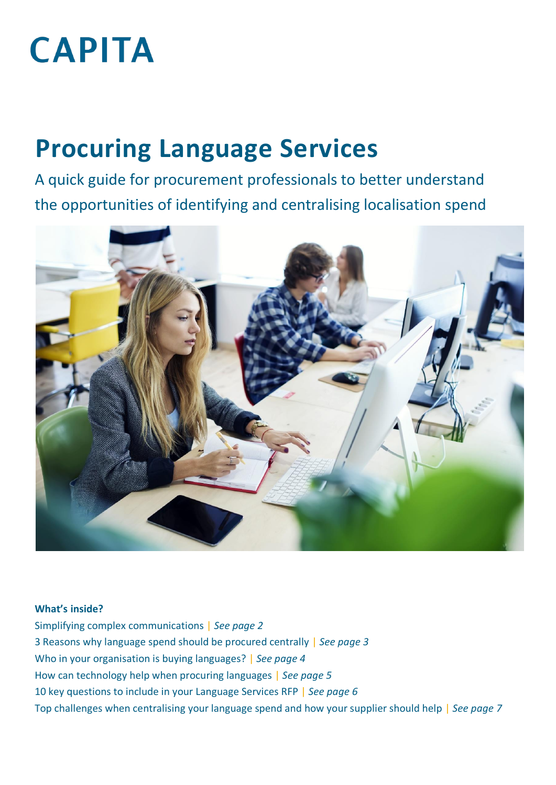# **CAPITA**

# **Procuring Language Services**

A quick guide for procurement professionals to better understand the opportunities of identifying and centralising localisation spend



#### **What's inside?**

Simplifying complex communications | *See page 2* 3 Reasons why language spend should be procured centrally | *See page 3* Who in your organisation is buying languages? | *See page 4* How can technology help when procuring languages | *See page 5* 10 key questions to include in your Language Services RFP | *See page 6* Top challenges when centralising your language spend and how your supplier should help | *See page 7*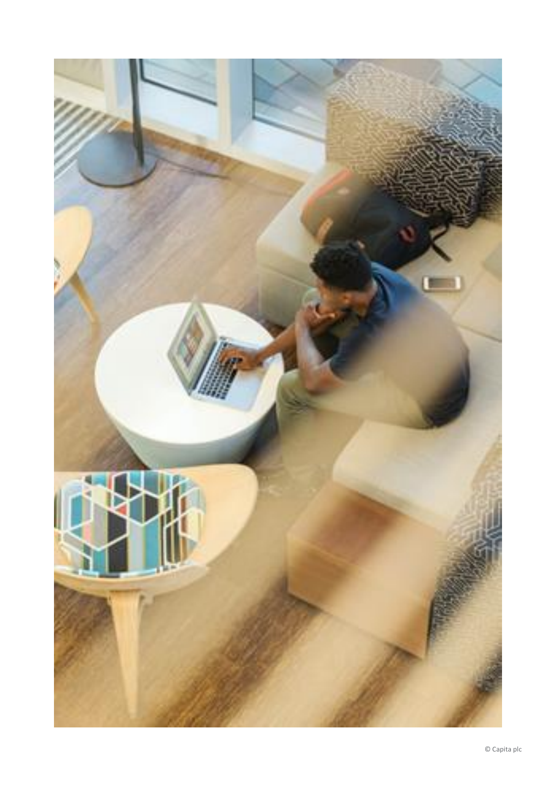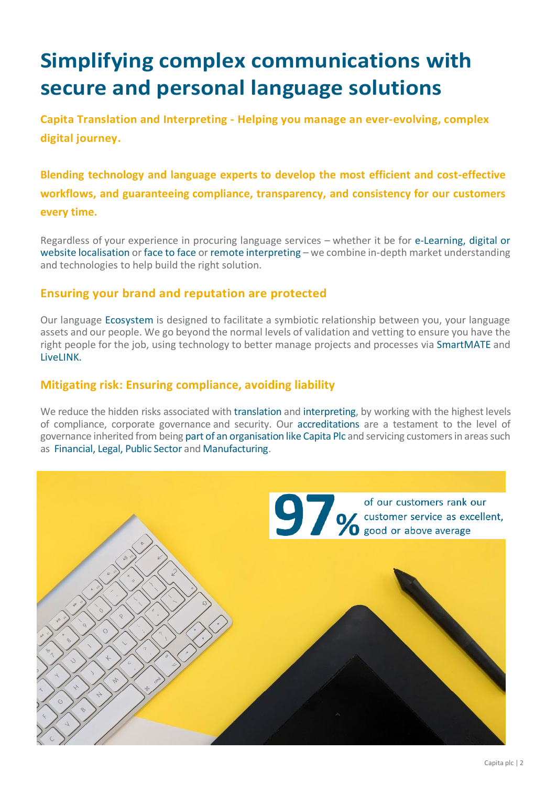# **Simplifying complex communications with secure and personal language solutions**

**Capita Translation and Interpreting - Helping you manage an ever-evolving, complex digital journey.**

**Blending technology and language experts to develop the most efficient and cost-effective workflows, and guaranteeing compliance, transparency, and consistency for our customers every time.**

Regardless of your experience in procuring language services – whether it be for [e-Learning,](https://www.capitatranslationinterpreting.com/e-learning-training-translation/) [digital or](https://www.capitatranslationinterpreting.com/website-translation/)  [website localisation](https://www.capitatranslationinterpreting.com/website-translation/) or [face to face o](https://www.capitatranslationinterpreting.com/interpreting-services/)r [remote interpreting](https://www.capitatranslationinterpreting.com/capita-livelink-remote-interpreting/) – we combine in-depth market understanding and technologies to help build the right solution.

#### **Ensuring your brand and reputation are protected**

Our language [Ecosystem i](https://www.capitatranslationinterpreting.com/about-us/our-ecosystem/)s designed to facilitate a symbiotic relationship between you, your language assets and our people. We go beyond the normal levels of validation and vetting to ensure you have the right people for the job, using technology to better manage projects and processes vi[a SmartMATE](https://www.capitatranslationinterpreting.com/smartmate/) and [LiveLINK.](https://www.capitatranslationinterpreting.com/capita-livelink-remote-interpreting/)

#### **Mitigating risk: Ensuring compliance, avoiding liability**

We reduce the hidden risks associated with [translation](https://www.capitatranslationinterpreting.com/translation-services/) and [interpreting,](https://www.capitatranslationinterpreting.com/interpreting-services/) by working with the highest levels of compliance, corporate governance and security. Our [accreditations](https://www.capitatranslationinterpreting.com/about-us/translation-standards-memberships/) are a testament to the level of governance inherited from bein[g part of an organisation like Capita Plc](https://www.capitatranslationinterpreting.com/about-us/part-capita-plc/) and servicing customers in areas such as [Financial,](https://www.capitatranslationinterpreting.com/financial-translation/) [Legal,](https://www.capitatranslationinterpreting.com/legal-translation/) [Public Sector](https://www.capitatranslationinterpreting.com/public-sector-language-services/) and [Manufacturing.](https://www.capitatranslationinterpreting.com/manufacturing-engineering-technical-translation-services/)

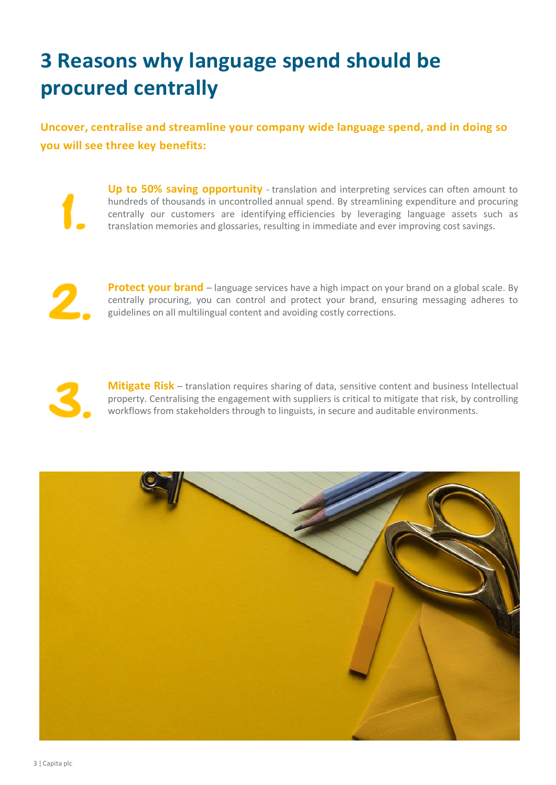## **3 Reasons why language spend should be procured centrally**

**Uncover, centralise and streamline your company wide language spend, and in doing so you will see three key benefits:** 

**Up to 50% saving opportunity** - translation and interpreting services can often amount to hundreds of thousands in uncontrolled annual spend. By streamlining expenditure and procuring centrally our customers are identifying efficiencies by leveraging language assets such as translation memories and glossaries, resulting in immediate and ever improving cost savings.

**Protect your brand** – language services have a high impact on your brand on a global scale. By centrally procuring, you can control and protect your brand, ensuring messaging adheres to guidelines on all multilingual content and avoiding costly corrections.



**Mitigate Risk** – translation requires sharing of data, sensitive content and business Intellectual property. Centralising the engagement with suppliers is critical to mitigate that risk, by controlling workflows from stakeholders through to linguists, in secure and auditable environments.

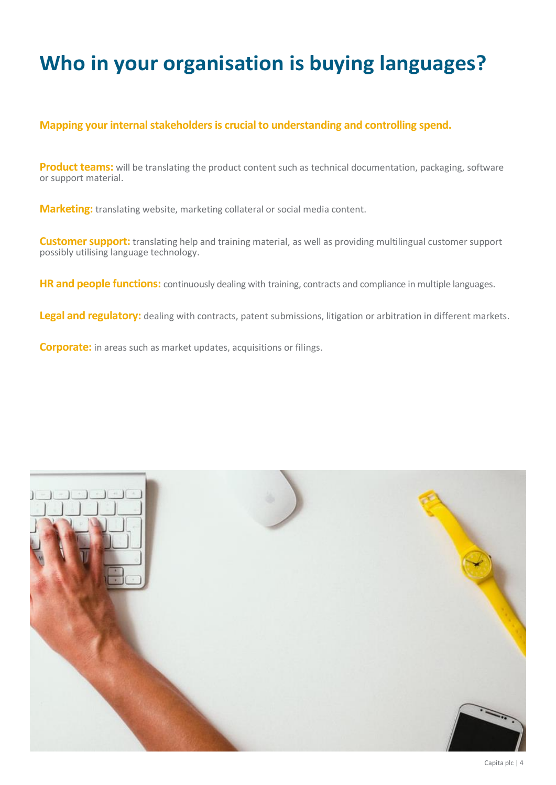### **Who in your organisation is buying languages?**

#### **Mapping your internal stakeholders is crucial to understanding and controlling spend.**

**Product teams:** will be translating the product content such as technical documentation, packaging, software or support material.

**Marketing:** translating website, marketing collateral or social media content.

**Customer support:** translating help and training material, as well as providing multilingual customer support possibly utilising language technology.

**HR and people functions:** continuously dealing with training, contracts and compliance in multiple languages.

**Legal and regulatory:** dealing with contracts, patent submissions, litigation or arbitration in different markets.

**Corporate:** in areas such as market updates, acquisitions or filings.

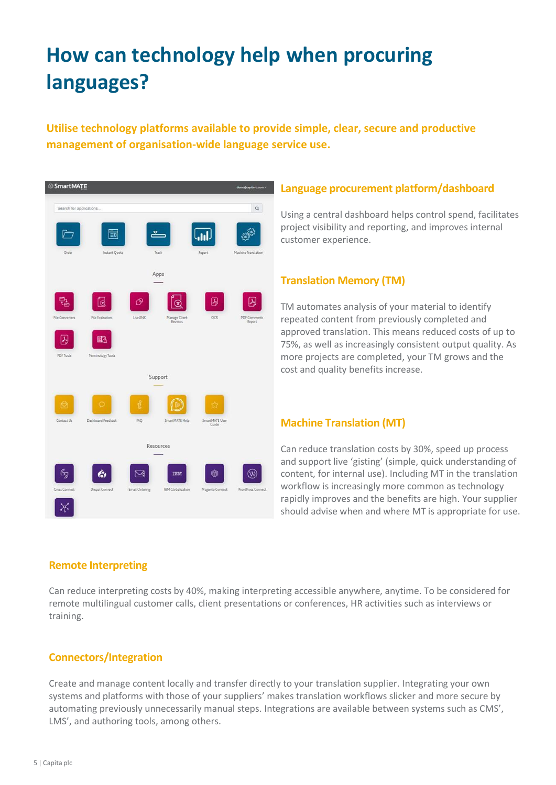# **How can technology help when procuring languages?**

#### **Utilise technology platforms available to provide simple, clear, secure and productive management of organisation-wide language service use.**



#### **Language procurement platform/dashboard**

Using a central dashboard helps control spend, facilitates project visibility and reporting, and improves internal customer experience.

#### **Translation Memory (TM)**

TM automates analysis of your material to identify repeated content from previously completed and approved translation. This means reduced costs of up to 75%, as well as increasingly consistent output quality. As more projects are completed, your TM grows and the cost and quality benefits increase.

#### **Machine Translation (MT)**

Can reduce translation costs by 30%, speed up process and support live 'gisting' (simple, quick understanding of content, for internal use). Including MT in the translation workflow is increasingly more common as technology rapidly improves and the benefits are high. Your supplier should advise when and where MT is appropriate for use.

#### **Remote Interpreting**

Can reduce interpreting costs by 40%, making interpreting accessible anywhere, anytime. To be considered for remote multilingual customer calls, client presentations or conferences, HR activities such as interviews or training.

#### **Connectors/Integration**

Create and manage content locally and transfer directly to your translation supplier. Integrating your own systems and platforms with those of your suppliers' makes translation workflows slicker and more secure by automating previously unnecessarily manual steps. Integrations are available between systems such as CMS', LMS', and authoring tools, among others.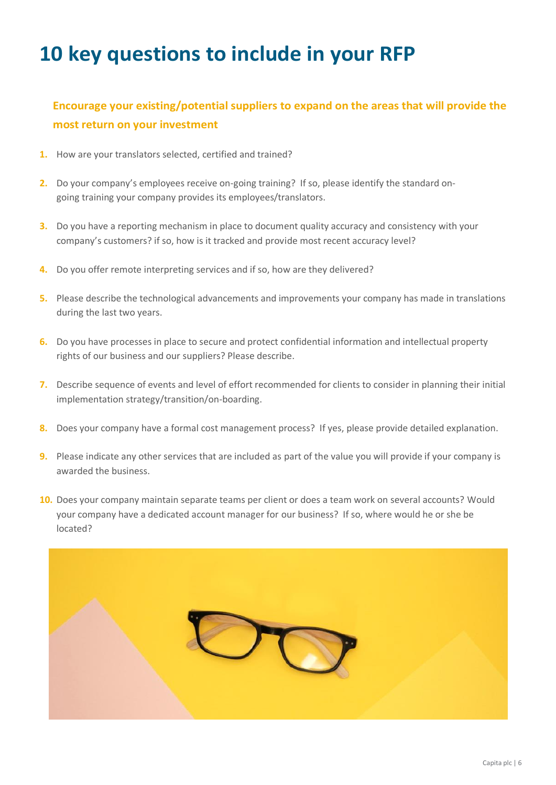### **10 key questions to include in your RFP**

### **Encourage your existing/potential suppliers to expand on the areas that will provide the most return on your investment**

- **1.** How are your translators selected, certified and trained?
- **2.** Do your company's employees receive on-going training? If so, please identify the standard ongoing training your company provides its employees/translators.
- **3.** Do you have a reporting mechanism in place to document quality accuracy and consistency with your company's customers? if so, how is it tracked and provide most recent accuracy level?
- **4.** Do you offer remote interpreting services and if so, how are they delivered?
- **5.** Please describe the technological advancements and improvements your company has made in translations during the last two years.
- **6.** Do you have processes in place to secure and protect confidential information and intellectual property rights of our business and our suppliers? Please describe.
- **7.** Describe sequence of events and level of effort recommended for clients to consider in planning their initial implementation strategy/transition/on-boarding.
- **8.** Does your company have a formal cost management process? If yes, please provide detailed explanation.
- **9.** Please indicate any other services that are included as part of the value you will provide if your company is awarded the business.
- **10.** Does your company maintain separate teams per client or does a team work on several accounts? Would your company have a dedicated account manager for our business? If so, where would he or she be located?

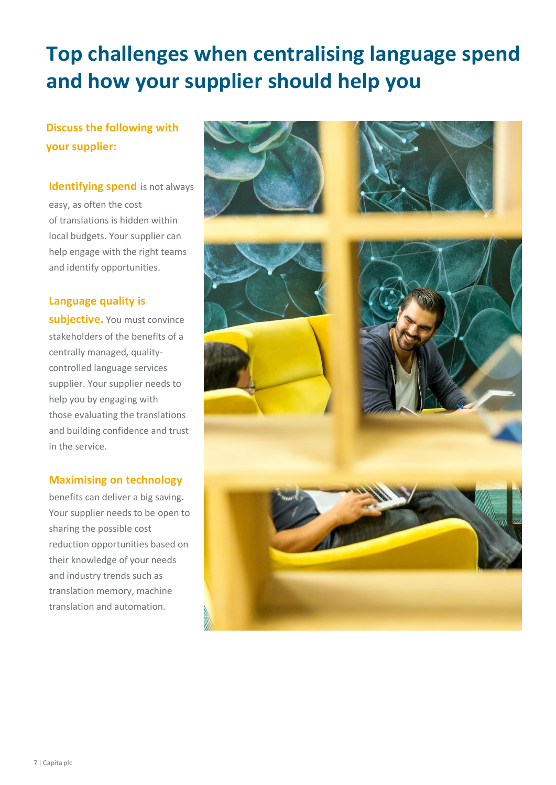# **Top challenges when centralising language spend and how your supplier should help you**

### **Discuss the following with your supplier:**

### **Identifying spend** is not always easy, as often the cost of translations is hidden within local budgets. Your supplier can

help engage with the right teams and identify opportunities.

#### **Language quality is**

**subjective.** You must convince stakeholders of the benefits of a centrally managed, qualitycontrolled language services supplier. Your supplier needs to help you by engaging with those evaluating the translations and building confidence and trust in the service.

#### **Maximising on technology**

benefits can deliver a big saving. Your supplier needs to be open to sharing the possible cost reduction opportunities based on their knowledge of your needs and industry trends such as translation memory, machine translation and automation.

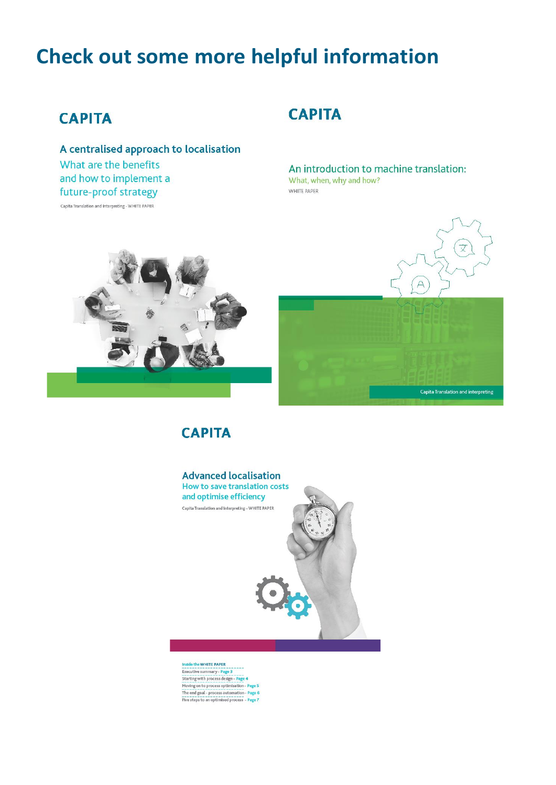### **Check out some more helpful information**

### **CAPITA**

A centralised approach to localisation What are the benefits and how to implement a future-proof strategy

Capita Translation and Interpreting - WHITE PAPER

### **CAPITA**

An introduction to machine translation: What, when, why and how? WHITE PAPER

文

Capita Translation and interpreting

 $\overline{P}$ 







Inside the WHITE PAPER Executive summary - Page 3<br>Starting with process design - Page 4 Moving on to process optimisation - Page 5 The end goal - process automation - Page 6<br>Five steps to an optimised process - Page 7